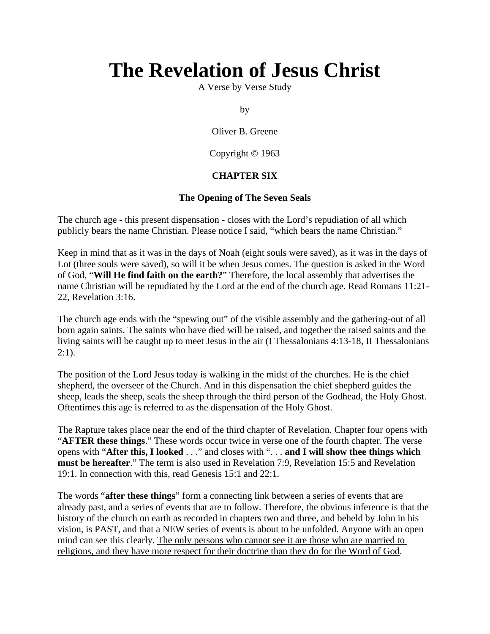# **The Revelation of Jesus Christ**

A Verse by Verse Study

by

Oliver B. Greene

Copyright © 1963

# **CHAPTER SIX**

# **The Opening of The Seven Seals**

The church age - this present dispensation - closes with the Lord's repudiation of all which publicly bears the name Christian. Please notice I said, "which bears the name Christian."

Keep in mind that as it was in the days of Noah (eight souls were saved), as it was in the days of Lot (three souls were saved), so will it be when Jesus comes. The question is asked in the Word of God, "**Will He find faith on the earth?**" Therefore, the local assembly that advertises the name Christian will be repudiated by the Lord at the end of the church age. Read Romans 11:21- 22, Revelation 3:16.

The church age ends with the "spewing out" of the visible assembly and the gathering-out of all born again saints. The saints who have died will be raised, and together the raised saints and the living saints will be caught up to meet Jesus in the air (I Thessalonians 4:13-18, II Thessalonians  $2:1$ ).

The position of the Lord Jesus today is walking in the midst of the churches. He is the chief shepherd, the overseer of the Church. And in this dispensation the chief shepherd guides the sheep, leads the sheep, seals the sheep through the third person of the Godhead, the Holy Ghost. Oftentimes this age is referred to as the dispensation of the Holy Ghost.

The Rapture takes place near the end of the third chapter of Revelation. Chapter four opens with "**AFTER these things**." These words occur twice in verse one of the fourth chapter. The verse opens with "**After this, I looked** . . ." and closes with ". . . **and I will show thee things which must be hereafter**." The term is also used in Revelation 7:9, Revelation 15:5 and Revelation 19:1. In connection with this, read Genesis 15:1 and 22:1.

The words "**after these things**" form a connecting link between a series of events that are already past, and a series of events that are to follow. Therefore, the obvious inference is that the history of the church on earth as recorded in chapters two and three, and beheld by John in his vision, is PAST, and that a NEW series of events is about to be unfolded. Anyone with an open mind can see this clearly. The only persons who cannot see it are those who are married to religions, and they have more respect for their doctrine than they do for the Word of God.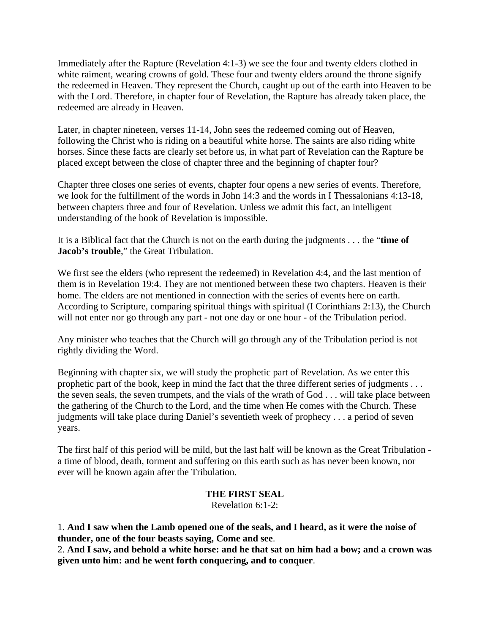Immediately after the Rapture (Revelation 4:1-3) we see the four and twenty elders clothed in white raiment, wearing crowns of gold. These four and twenty elders around the throne signify the redeemed in Heaven. They represent the Church, caught up out of the earth into Heaven to be with the Lord. Therefore, in chapter four of Revelation, the Rapture has already taken place, the redeemed are already in Heaven.

Later, in chapter nineteen, verses 11-14, John sees the redeemed coming out of Heaven, following the Christ who is riding on a beautiful white horse. The saints are also riding white horses. Since these facts are clearly set before us, in what part of Revelation can the Rapture be placed except between the close of chapter three and the beginning of chapter four?

Chapter three closes one series of events, chapter four opens a new series of events. Therefore, we look for the fulfillment of the words in John 14:3 and the words in I Thessalonians 4:13-18, between chapters three and four of Revelation. Unless we admit this fact, an intelligent understanding of the book of Revelation is impossible.

It is a Biblical fact that the Church is not on the earth during the judgments . . . the "**time of Jacob's trouble**," the Great Tribulation.

We first see the elders (who represent the redeemed) in Revelation 4:4, and the last mention of them is in Revelation 19:4. They are not mentioned between these two chapters. Heaven is their home. The elders are not mentioned in connection with the series of events here on earth. According to Scripture, comparing spiritual things with spiritual (I Corinthians 2:13), the Church will not enter nor go through any part - not one day or one hour - of the Tribulation period.

Any minister who teaches that the Church will go through any of the Tribulation period is not rightly dividing the Word.

Beginning with chapter six, we will study the prophetic part of Revelation. As we enter this prophetic part of the book, keep in mind the fact that the three different series of judgments . . . the seven seals, the seven trumpets, and the vials of the wrath of God . . . will take place between the gathering of the Church to the Lord, and the time when He comes with the Church. These judgments will take place during Daniel's seventieth week of prophecy . . . a period of seven years.

The first half of this period will be mild, but the last half will be known as the Great Tribulation a time of blood, death, torment and suffering on this earth such as has never been known, nor ever will be known again after the Tribulation.

## **THE FIRST SEAL**

Revelation 6:1-2:

1. **And I saw when the Lamb opened one of the seals, and I heard, as it were the noise of thunder, one of the four beasts saying, Come and see**.

2. **And I saw, and behold a white horse: and he that sat on him had a bow; and a crown was given unto him: and he went forth conquering, and to conquer**.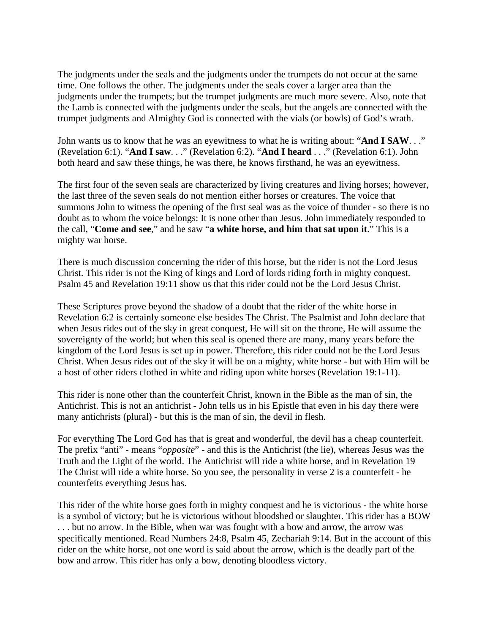The judgments under the seals and the judgments under the trumpets do not occur at the same time. One follows the other. The judgments under the seals cover a larger area than the judgments under the trumpets; but the trumpet judgments are much more severe. Also, note that the Lamb is connected with the judgments under the seals, but the angels are connected with the trumpet judgments and Almighty God is connected with the vials (or bowls) of God's wrath.

John wants us to know that he was an eyewitness to what he is writing about: "**And I SAW**. . ." (Revelation 6:1). "**And I saw**. . ." (Revelation 6:2). "**And I heard** . . ." (Revelation 6:1). John both heard and saw these things, he was there, he knows firsthand, he was an eyewitness.

The first four of the seven seals are characterized by living creatures and living horses; however, the last three of the seven seals do not mention either horses or creatures. The voice that summons John to witness the opening of the first seal was as the voice of thunder - so there is no doubt as to whom the voice belongs: It is none other than Jesus. John immediately responded to the call, "**Come and see**," and he saw "**a white horse, and him that sat upon it**." This is a mighty war horse.

There is much discussion concerning the rider of this horse, but the rider is not the Lord Jesus Christ. This rider is not the King of kings and Lord of lords riding forth in mighty conquest. Psalm 45 and Revelation 19:11 show us that this rider could not be the Lord Jesus Christ.

These Scriptures prove beyond the shadow of a doubt that the rider of the white horse in Revelation 6:2 is certainly someone else besides The Christ. The Psalmist and John declare that when Jesus rides out of the sky in great conquest, He will sit on the throne, He will assume the sovereignty of the world; but when this seal is opened there are many, many years before the kingdom of the Lord Jesus is set up in power. Therefore, this rider could not be the Lord Jesus Christ. When Jesus rides out of the sky it will be on a mighty, white horse - but with Him will be a host of other riders clothed in white and riding upon white horses (Revelation 19:1-11).

This rider is none other than the counterfeit Christ, known in the Bible as the man of sin, the Antichrist. This is not an antichrist - John tells us in his Epistle that even in his day there were many antichrists (plural) - but this is the man of sin, the devil in flesh.

For everything The Lord God has that is great and wonderful, the devil has a cheap counterfeit. The prefix "anti" - means "*opposite*" - and this is the Antichrist (the lie), whereas Jesus was the Truth and the Light of the world. The Antichrist will ride a white horse, and in Revelation 19 The Christ will ride a white horse. So you see, the personality in verse 2 is a counterfeit - he counterfeits everything Jesus has.

This rider of the white horse goes forth in mighty conquest and he is victorious - the white horse is a symbol of victory; but he is victorious without bloodshed or slaughter. This rider has a BOW . . . but no arrow. In the Bible, when war was fought with a bow and arrow, the arrow was specifically mentioned. Read Numbers 24:8, Psalm 45, Zechariah 9:14. But in the account of this rider on the white horse, not one word is said about the arrow, which is the deadly part of the bow and arrow. This rider has only a bow, denoting bloodless victory.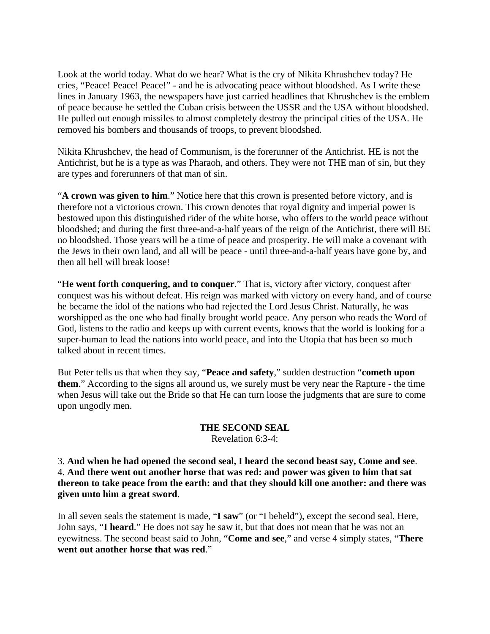Look at the world today. What do we hear? What is the cry of Nikita Khrushchev today? He cries, "Peace! Peace! Peace!" - and he is advocating peace without bloodshed. As I write these lines in January 1963, the newspapers have just carried headlines that Khrushchev is the emblem of peace because he settled the Cuban crisis between the USSR and the USA without bloodshed. He pulled out enough missiles to almost completely destroy the principal cities of the USA. He removed his bombers and thousands of troops, to prevent bloodshed.

Nikita Khrushchev, the head of Communism, is the forerunner of the Antichrist. HE is not the Antichrist, but he is a type as was Pharaoh, and others. They were not THE man of sin, but they are types and forerunners of that man of sin.

"**A crown was given to him**." Notice here that this crown is presented before victory, and is therefore not a victorious crown. This crown denotes that royal dignity and imperial power is bestowed upon this distinguished rider of the white horse, who offers to the world peace without bloodshed; and during the first three-and-a-half years of the reign of the Antichrist, there will BE no bloodshed. Those years will be a time of peace and prosperity. He will make a covenant with the Jews in their own land, and all will be peace - until three-and-a-half years have gone by, and then all hell will break loose!

"**He went forth conquering, and to conquer**." That is, victory after victory, conquest after conquest was his without defeat. His reign was marked with victory on every hand, and of course he became the idol of the nations who had rejected the Lord Jesus Christ. Naturally, he was worshipped as the one who had finally brought world peace. Any person who reads the Word of God, listens to the radio and keeps up with current events, knows that the world is looking for a super-human to lead the nations into world peace, and into the Utopia that has been so much talked about in recent times.

But Peter tells us that when they say, "**Peace and safety**," sudden destruction "**cometh upon them**." According to the signs all around us, we surely must be very near the Rapture - the time when Jesus will take out the Bride so that He can turn loose the judgments that are sure to come upon ungodly men.

#### **THE SECOND SEAL** Revelation 6:3-4:

3. **And when he had opened the second seal, I heard the second beast say, Come and see**. 4. **And there went out another horse that was red: and power was given to him that sat thereon to take peace from the earth: and that they should kill one another: and there was given unto him a great sword**.

In all seven seals the statement is made, "**I saw**" (or "I beheld"), except the second seal. Here, John says, "**I heard**." He does not say he saw it, but that does not mean that he was not an eyewitness. The second beast said to John, "**Come and see**," and verse 4 simply states, "**There went out another horse that was red**."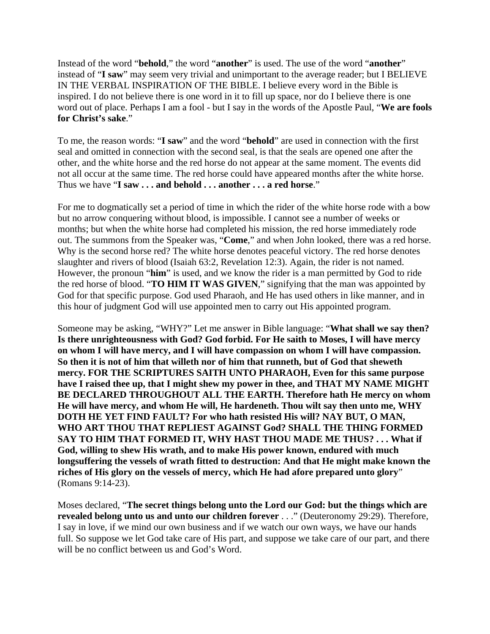Instead of the word "**behold**," the word "**another**" is used. The use of the word "**another**" instead of "**I saw**" may seem very trivial and unimportant to the average reader; but I BELIEVE IN THE VERBAL INSPIRATION OF THE BIBLE. I believe every word in the Bible is inspired. I do not believe there is one word in it to fill up space, nor do I believe there is one word out of place. Perhaps I am a fool - but I say in the words of the Apostle Paul, "**We are fools for Christ's sake**."

To me, the reason words: "**I saw**" and the word "**behold**" are used in connection with the first seal and omitted in connection with the second seal, is that the seals are opened one after the other, and the white horse and the red horse do not appear at the same moment. The events did not all occur at the same time. The red horse could have appeared months after the white horse. Thus we have "**I saw . . . and behold . . . another . . . a red horse**."

For me to dogmatically set a period of time in which the rider of the white horse rode with a bow but no arrow conquering without blood, is impossible. I cannot see a number of weeks or months; but when the white horse had completed his mission, the red horse immediately rode out. The summons from the Speaker was, "**Come**," and when John looked, there was a red horse. Why is the second horse red? The white horse denotes peaceful victory. The red horse denotes slaughter and rivers of blood (Isaiah 63:2, Revelation 12:3). Again, the rider is not named. However, the pronoun "**him**" is used, and we know the rider is a man permitted by God to ride the red horse of blood. "**TO HIM IT WAS GIVEN**," signifying that the man was appointed by God for that specific purpose. God used Pharaoh, and He has used others in like manner, and in this hour of judgment God will use appointed men to carry out His appointed program.

Someone may be asking, "WHY?" Let me answer in Bible language: "**What shall we say then? Is there unrighteousness with God? God forbid. For He saith to Moses, I will have mercy on whom I will have mercy, and I will have compassion on whom I will have compassion. So then it is not of him that willeth nor of him that runneth, but of God that sheweth mercy. FOR THE SCRIPTURES SAITH UNTO PHARAOH, Even for this same purpose have I raised thee up, that I might shew my power in thee, and THAT MY NAME MIGHT BE DECLARED THROUGHOUT ALL THE EARTH. Therefore hath He mercy on whom He will have mercy, and whom He will, He hardeneth. Thou wilt say then unto me, WHY DOTH HE YET FIND FAULT? For who hath resisted His will? NAY BUT, O MAN, WHO ART THOU THAT REPLIEST AGAINST God? SHALL THE THING FORMED SAY TO HIM THAT FORMED IT, WHY HAST THOU MADE ME THUS? . . . What if God, willing to shew His wrath, and to make His power known, endured with much longsuffering the vessels of wrath fitted to destruction: And that He might make known the riches of His glory on the vessels of mercy, which He had afore prepared unto glory**" (Romans 9:14-23).

Moses declared, "**The secret things belong unto the Lord our God: but the things which are revealed belong unto us and unto our children forever** . . ." (Deuteronomy 29:29). Therefore, I say in love, if we mind our own business and if we watch our own ways, we have our hands full. So suppose we let God take care of His part, and suppose we take care of our part, and there will be no conflict between us and God's Word.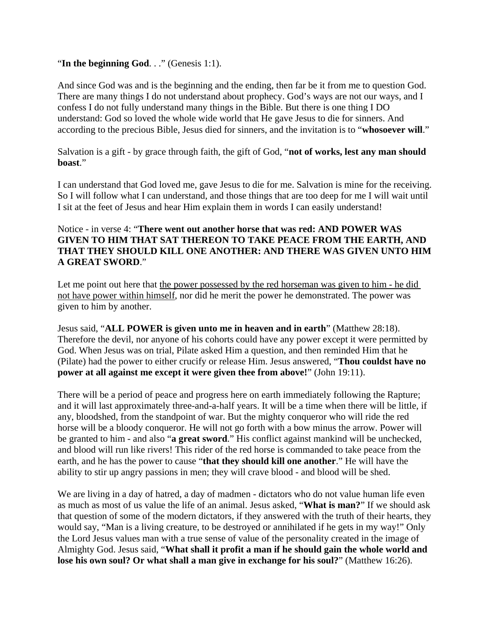#### "**In the beginning God**. . ." (Genesis 1:1).

And since God was and is the beginning and the ending, then far be it from me to question God. There are many things I do not understand about prophecy. God's ways are not our ways, and I confess I do not fully understand many things in the Bible. But there is one thing I DO understand: God so loved the whole wide world that He gave Jesus to die for sinners. And according to the precious Bible, Jesus died for sinners, and the invitation is to "**whosoever will**."

Salvation is a gift - by grace through faith, the gift of God, "**not of works, lest any man should boast**."

I can understand that God loved me, gave Jesus to die for me. Salvation is mine for the receiving. So I will follow what I can understand, and those things that are too deep for me I will wait until I sit at the feet of Jesus and hear Him explain them in words I can easily understand!

### Notice - in verse 4: "**There went out another horse that was red: AND POWER WAS GIVEN TO HIM THAT SAT THEREON TO TAKE PEACE FROM THE EARTH, AND THAT THEY SHOULD KILL ONE ANOTHER: AND THERE WAS GIVEN UNTO HIM A GREAT SWORD**."

Let me point out here that the power possessed by the red horseman was given to him - he did not have power within himself, nor did he merit the power he demonstrated. The power was given to him by another.

Jesus said, "**ALL POWER is given unto me in heaven and in earth**" (Matthew 28:18). Therefore the devil, nor anyone of his cohorts could have any power except it were permitted by God. When Jesus was on trial, Pilate asked Him a question, and then reminded Him that he (Pilate) had the power to either crucify or release Him. Jesus answered, "**Thou couldst have no power at all against me except it were given thee from above!**" (John 19:11).

There will be a period of peace and progress here on earth immediately following the Rapture; and it will last approximately three-and-a-half years. It will be a time when there will be little, if any, bloodshed, from the standpoint of war. But the mighty conqueror who will ride the red horse will be a bloody conqueror. He will not go forth with a bow minus the arrow. Power will be granted to him - and also "**a great sword**." His conflict against mankind will be unchecked, and blood will run like rivers! This rider of the red horse is commanded to take peace from the earth, and he has the power to cause "**that they should kill one another**." He will have the ability to stir up angry passions in men; they will crave blood - and blood will be shed.

We are living in a day of hatred, a day of madmen - dictators who do not value human life even as much as most of us value the life of an animal. Jesus asked, "**What is man?**" If we should ask that question of some of the modern dictators, if they answered with the truth of their hearts, they would say, "Man is a living creature, to be destroyed or annihilated if he gets in my way!" Only the Lord Jesus values man with a true sense of value of the personality created in the image of Almighty God. Jesus said, "**What shall it profit a man if he should gain the whole world and lose his own soul? Or what shall a man give in exchange for his soul?**" (Matthew 16:26).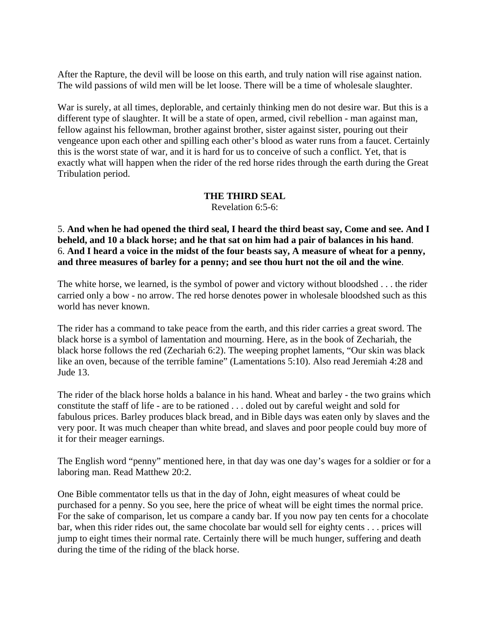After the Rapture, the devil will be loose on this earth, and truly nation will rise against nation. The wild passions of wild men will be let loose. There will be a time of wholesale slaughter.

War is surely, at all times, deplorable, and certainly thinking men do not desire war. But this is a different type of slaughter. It will be a state of open, armed, civil rebellion - man against man, fellow against his fellowman, brother against brother, sister against sister, pouring out their vengeance upon each other and spilling each other's blood as water runs from a faucet. Certainly this is the worst state of war, and it is hard for us to conceive of such a conflict. Yet, that is exactly what will happen when the rider of the red horse rides through the earth during the Great Tribulation period.

#### **THE THIRD SEAL**

Revelation 6:5-6:

5. **And when he had opened the third seal, I heard the third beast say, Come and see. And I beheld, and 10 a black horse; and he that sat on him had a pair of balances in his hand**. 6. **And I heard a voice in the midst of the four beasts say, A measure of wheat for a penny, and three measures of barley for a penny; and see thou hurt not the oil and the wine**.

The white horse, we learned, is the symbol of power and victory without bloodshed . . . the rider carried only a bow - no arrow. The red horse denotes power in wholesale bloodshed such as this world has never known.

The rider has a command to take peace from the earth, and this rider carries a great sword. The black horse is a symbol of lamentation and mourning. Here, as in the book of Zechariah, the black horse follows the red (Zechariah 6:2). The weeping prophet laments, "Our skin was black like an oven, because of the terrible famine" (Lamentations 5:10). Also read Jeremiah 4:28 and Jude 13.

The rider of the black horse holds a balance in his hand. Wheat and barley - the two grains which constitute the staff of life - are to be rationed . . . doled out by careful weight and sold for fabulous prices. Barley produces black bread, and in Bible days was eaten only by slaves and the very poor. It was much cheaper than white bread, and slaves and poor people could buy more of it for their meager earnings.

The English word "penny" mentioned here, in that day was one day's wages for a soldier or for a laboring man. Read Matthew 20:2.

One Bible commentator tells us that in the day of John, eight measures of wheat could be purchased for a penny. So you see, here the price of wheat will be eight times the normal price. For the sake of comparison, let us compare a candy bar. If you now pay ten cents for a chocolate bar, when this rider rides out, the same chocolate bar would sell for eighty cents . . . prices will jump to eight times their normal rate. Certainly there will be much hunger, suffering and death during the time of the riding of the black horse.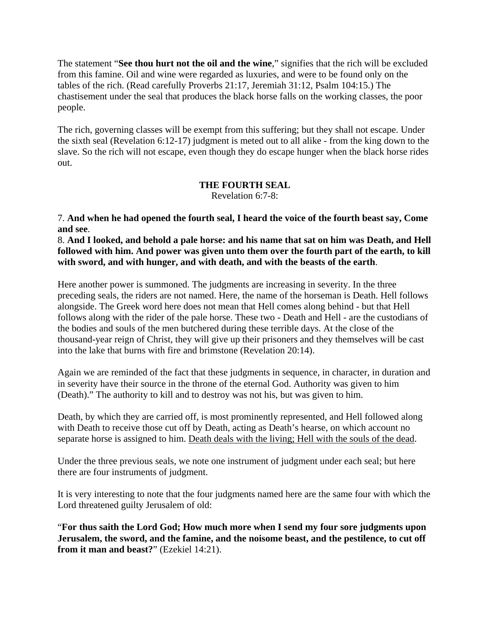The statement "**See thou hurt not the oil and the wine**," signifies that the rich will be excluded from this famine. Oil and wine were regarded as luxuries, and were to be found only on the tables of the rich. (Read carefully Proverbs 21:17, Jeremiah 31:12, Psalm 104:15.) The chastisement under the seal that produces the black horse falls on the working classes, the poor people.

The rich, governing classes will be exempt from this suffering; but they shall not escape. Under the sixth seal (Revelation 6:12-17) judgment is meted out to all alike - from the king down to the slave. So the rich will not escape, even though they do escape hunger when the black horse rides out.

# **THE FOURTH SEAL**

Revelation 6:7-8:

7. **And when he had opened the fourth seal, I heard the voice of the fourth beast say, Come and see**.

8. **And I looked, and behold a pale horse: and his name that sat on him was Death, and Hell followed with him. And power was given unto them over the fourth part of the earth, to kill with sword, and with hunger, and with death, and with the beasts of the earth**.

Here another power is summoned. The judgments are increasing in severity. In the three preceding seals, the riders are not named. Here, the name of the horseman is Death. Hell follows alongside. The Greek word here does not mean that Hell comes along behind - but that Hell follows along with the rider of the pale horse. These two - Death and Hell - are the custodians of the bodies and souls of the men butchered during these terrible days. At the close of the thousand-year reign of Christ, they will give up their prisoners and they themselves will be cast into the lake that burns with fire and brimstone (Revelation 20:14).

Again we are reminded of the fact that these judgments in sequence, in character, in duration and in severity have their source in the throne of the eternal God. Authority was given to him (Death)." The authority to kill and to destroy was not his, but was given to him.

Death, by which they are carried off, is most prominently represented, and Hell followed along with Death to receive those cut off by Death, acting as Death's hearse, on which account no separate horse is assigned to him. Death deals with the living; Hell with the souls of the dead.

Under the three previous seals, we note one instrument of judgment under each seal; but here there are four instruments of judgment.

It is very interesting to note that the four judgments named here are the same four with which the Lord threatened guilty Jerusalem of old:

"**For thus saith the Lord God; How much more when I send my four sore judgments upon Jerusalem, the sword, and the famine, and the noisome beast, and the pestilence, to cut off from it man and beast?**" (Ezekiel 14:21).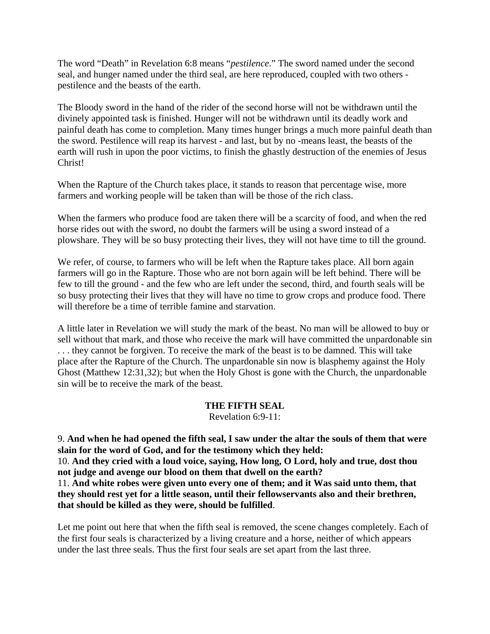The word "Death" in Revelation 6:8 means "*pestilence*." The sword named under the second seal, and hunger named under the third seal, are here reproduced, coupled with two others pestilence and the beasts of the earth.

The Bloody sword in the hand of the rider of the second horse will not be withdrawn until the divinely appointed task is finished. Hunger will not be withdrawn until its deadly work and painful death has come to completion. Many times hunger brings a much more painful death than the sword. Pestilence will reap its harvest - and last, but by no -means least, the beasts of the earth will rush in upon the poor victims, to finish the ghastly destruction of the enemies of Jesus Christ!

When the Rapture of the Church takes place, it stands to reason that percentage wise, more farmers and working people will be taken than will be those of the rich class.

When the farmers who produce food are taken there will be a scarcity of food, and when the red horse rides out with the sword, no doubt the farmers will be using a sword instead of a plowshare. They will be so busy protecting their lives, they will not have time to till the ground.

We refer, of course, to farmers who will be left when the Rapture takes place. All born again farmers will go in the Rapture. Those who are not born again will be left behind. There will be few to till the ground - and the few who are left under the second, third, and fourth seals will be so busy protecting their lives that they will have no time to grow crops and produce food. There will therefore be a time of terrible famine and starvation.

A little later in Revelation we will study the mark of the beast. No man will be allowed to buy or sell without that mark, and those who receive the mark will have committed the unpardonable sin . . . they cannot be forgiven. To receive the mark of the beast is to be damned. This will take place after the Rapture of the Church. The unpardonable sin now is blasphemy against the Holy Ghost (Matthew 12:31,32); but when the Holy Ghost is gone with the Church, the unpardonable sin will be to receive the mark of the beast.

#### **THE FIFTH SEAL**

Revelation 6:9-11:

9. **And when he had opened the fifth seal, I saw under the altar the souls of them that were slain for the word of God, and for the testimony which they held:** 10. **And they cried with a loud voice, saying, How long, O Lord, holy and true, dost thou not judge and avenge our blood on them that dwell on the earth?** 11. **And white robes were given unto every one of them; and it Was said unto them, that they should rest yet for a little season, until their fellowservants also and their brethren, that should be killed as they were, should be fulfilled**.

Let me point out here that when the fifth seal is removed, the scene changes completely. Each of the first four seals is characterized by a living creature and a horse, neither of which appears under the last three seals. Thus the first four seals are set apart from the last three.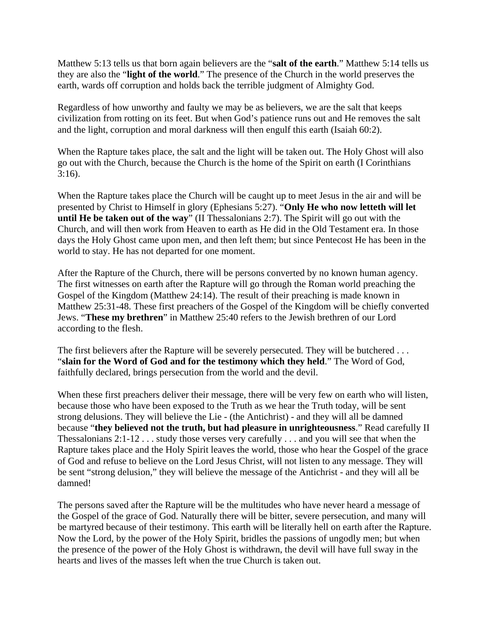Matthew 5:13 tells us that born again believers are the "**salt of the earth**." Matthew 5:14 tells us they are also the "**light of the world**." The presence of the Church in the world preserves the earth, wards off corruption and holds back the terrible judgment of Almighty God.

Regardless of how unworthy and faulty we may be as believers, we are the salt that keeps civilization from rotting on its feet. But when God's patience runs out and He removes the salt and the light, corruption and moral darkness will then engulf this earth (Isaiah 60:2).

When the Rapture takes place, the salt and the light will be taken out. The Holy Ghost will also go out with the Church, because the Church is the home of the Spirit on earth (I Corinthians 3:16).

When the Rapture takes place the Church will be caught up to meet Jesus in the air and will be presented by Christ to Himself in glory (Ephesians 5:27). "**Only He who now letteth will let until He be taken out of the way**" (II Thessalonians 2:7). The Spirit will go out with the Church, and will then work from Heaven to earth as He did in the Old Testament era. In those days the Holy Ghost came upon men, and then left them; but since Pentecost He has been in the world to stay. He has not departed for one moment.

After the Rapture of the Church, there will be persons converted by no known human agency. The first witnesses on earth after the Rapture will go through the Roman world preaching the Gospel of the Kingdom (Matthew 24:14). The result of their preaching is made known in Matthew 25:31-48. These first preachers of the Gospel of the Kingdom will be chiefly converted Jews. "**These my brethren**" in Matthew 25:40 refers to the Jewish brethren of our Lord according to the flesh.

The first believers after the Rapture will be severely persecuted. They will be butchered ... "**slain for the Word of God and for the testimony which they held**." The Word of God, faithfully declared, brings persecution from the world and the devil.

When these first preachers deliver their message, there will be very few on earth who will listen, because those who have been exposed to the Truth as we hear the Truth today, will be sent strong delusions. They will believe the Lie - (the Antichrist) - and they will all be damned because "**they believed not the truth, but had pleasure in unrighteousness**." Read carefully II Thessalonians 2:1-12 . . . study those verses very carefully . . . and you will see that when the Rapture takes place and the Holy Spirit leaves the world, those who hear the Gospel of the grace of God and refuse to believe on the Lord Jesus Christ, will not listen to any message. They will be sent "strong delusion," they will believe the message of the Antichrist - and they will all be damned!

The persons saved after the Rapture will be the multitudes who have never heard a message of the Gospel of the grace of God. Naturally there will be bitter, severe persecution, and many will be martyred because of their testimony. This earth will be literally hell on earth after the Rapture. Now the Lord, by the power of the Holy Spirit, bridles the passions of ungodly men; but when the presence of the power of the Holy Ghost is withdrawn, the devil will have full sway in the hearts and lives of the masses left when the true Church is taken out.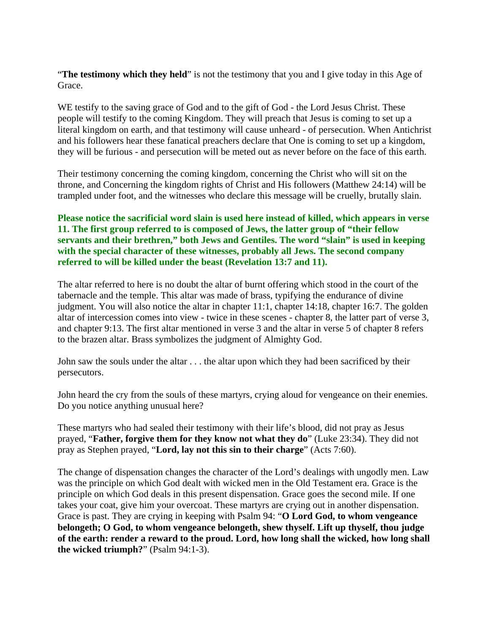"**The testimony which they held**" is not the testimony that you and I give today in this Age of Grace.

WE testify to the saving grace of God and to the gift of God - the Lord Jesus Christ. These people will testify to the coming Kingdom. They will preach that Jesus is coming to set up a literal kingdom on earth, and that testimony will cause unheard - of persecution. When Antichrist and his followers hear these fanatical preachers declare that One is coming to set up a kingdom, they will be furious - and persecution will be meted out as never before on the face of this earth.

Their testimony concerning the coming kingdom, concerning the Christ who will sit on the throne, and Concerning the kingdom rights of Christ and His followers (Matthew 24:14) will be trampled under foot, and the witnesses who declare this message will be cruelly, brutally slain.

## **Please notice the sacrificial word slain is used here instead of killed, which appears in verse 11. The first group referred to is composed of Jews, the latter group of "their fellow servants and their brethren," both Jews and Gentiles. The word "slain" is used in keeping with the special character of these witnesses, probably all Jews. The second company referred to will be killed under the beast (Revelation 13:7 and 11).**

The altar referred to here is no doubt the altar of burnt offering which stood in the court of the tabernacle and the temple. This altar was made of brass, typifying the endurance of divine judgment. You will also notice the altar in chapter 11:1, chapter 14:18, chapter 16:7. The golden altar of intercession comes into view - twice in these scenes - chapter 8, the latter part of verse 3, and chapter 9:13. The first altar mentioned in verse 3 and the altar in verse 5 of chapter 8 refers to the brazen altar. Brass symbolizes the judgment of Almighty God.

John saw the souls under the altar . . . the altar upon which they had been sacrificed by their persecutors.

John heard the cry from the souls of these martyrs, crying aloud for vengeance on their enemies. Do you notice anything unusual here?

These martyrs who had sealed their testimony with their life's blood, did not pray as Jesus prayed, "**Father, forgive them for they know not what they do**" (Luke 23:34). They did not pray as Stephen prayed, "**Lord, lay not this sin to their charge**" (Acts 7:60).

The change of dispensation changes the character of the Lord's dealings with ungodly men. Law was the principle on which God dealt with wicked men in the Old Testament era. Grace is the principle on which God deals in this present dispensation. Grace goes the second mile. If one takes your coat, give him your overcoat. These martyrs are crying out in another dispensation. Grace is past. They are crying in keeping with Psalm 94: "**O Lord God, to whom vengeance belongeth; O God, to whom vengeance belongeth, shew thyself. Lift up thyself, thou judge of the earth: render a reward to the proud. Lord, how long shall the wicked, how long shall the wicked triumph?**" (Psalm 94:1-3).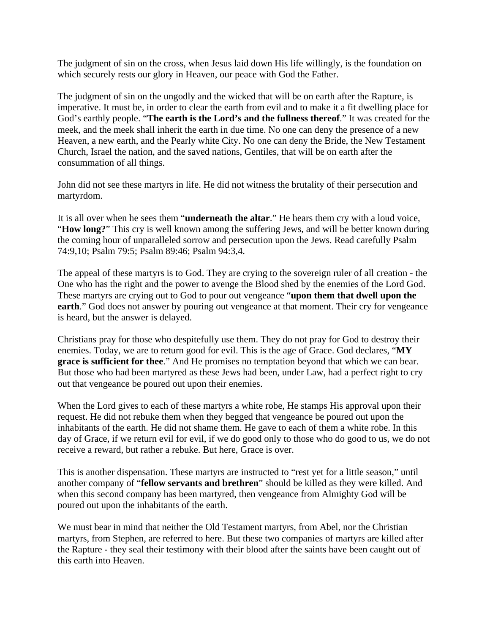The judgment of sin on the cross, when Jesus laid down His life willingly, is the foundation on which securely rests our glory in Heaven, our peace with God the Father.

The judgment of sin on the ungodly and the wicked that will be on earth after the Rapture, is imperative. It must be, in order to clear the earth from evil and to make it a fit dwelling place for God's earthly people. "**The earth is the Lord's and the fullness thereof**." It was created for the meek, and the meek shall inherit the earth in due time. No one can deny the presence of a new Heaven, a new earth, and the Pearly white City. No one can deny the Bride, the New Testament Church, Israel the nation, and the saved nations, Gentiles, that will be on earth after the consummation of all things.

John did not see these martyrs in life. He did not witness the brutality of their persecution and martyrdom.

It is all over when he sees them "**underneath the altar**." He hears them cry with a loud voice, "**How long?**" This cry is well known among the suffering Jews, and will be better known during the coming hour of unparalleled sorrow and persecution upon the Jews. Read carefully Psalm 74:9,10; Psalm 79:5; Psalm 89:46; Psalm 94:3,4.

The appeal of these martyrs is to God. They are crying to the sovereign ruler of all creation - the One who has the right and the power to avenge the Blood shed by the enemies of the Lord God. These martyrs are crying out to God to pour out vengeance "**upon them that dwell upon the earth**." God does not answer by pouring out vengeance at that moment. Their cry for vengeance is heard, but the answer is delayed.

Christians pray for those who despitefully use them. They do not pray for God to destroy their enemies. Today, we are to return good for evil. This is the age of Grace. God declares, "**MY grace is sufficient for thee**." And He promises no temptation beyond that which we can bear. But those who had been martyred as these Jews had been, under Law, had a perfect right to cry out that vengeance be poured out upon their enemies.

When the Lord gives to each of these martyrs a white robe, He stamps His approval upon their request. He did not rebuke them when they begged that vengeance be poured out upon the inhabitants of the earth. He did not shame them. He gave to each of them a white robe. In this day of Grace, if we return evil for evil, if we do good only to those who do good to us, we do not receive a reward, but rather a rebuke. But here, Grace is over.

This is another dispensation. These martyrs are instructed to "rest yet for a little season," until another company of "**fellow servants and brethren**" should be killed as they were killed. And when this second company has been martyred, then vengeance from Almighty God will be poured out upon the inhabitants of the earth.

We must bear in mind that neither the Old Testament martyrs, from Abel, nor the Christian martyrs, from Stephen, are referred to here. But these two companies of martyrs are killed after the Rapture - they seal their testimony with their blood after the saints have been caught out of this earth into Heaven.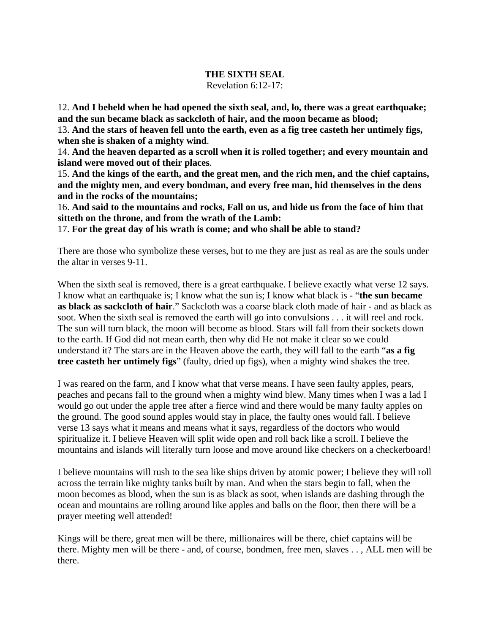#### **THE SIXTH SEAL**

Revelation 6:12-17:

12. **And I beheld when he had opened the sixth seal, and, lo, there was a great earthquake; and the sun became black as sackcloth of hair, and the moon became as blood;**

13. **And the stars of heaven fell unto the earth, even as a fig tree casteth her untimely figs, when she is shaken of a mighty wind**.

14. **And the heaven departed as a scroll when it is rolled together; and every mountain and island were moved out of their places**.

15. **And the kings of the earth, and the great men, and the rich men, and the chief captains, and the mighty men, and every bondman, and every free man, hid themselves in the dens and in the rocks of the mountains;**

16. **And said to the mountains and rocks, Fall on us, and hide us from the face of him that sitteth on the throne, and from the wrath of the Lamb:**

17. **For the great day of his wrath is come; and who shall be able to stand?**

There are those who symbolize these verses, but to me they are just as real as are the souls under the altar in verses 9-11.

When the sixth seal is removed, there is a great earthquake. I believe exactly what verse 12 says. I know what an earthquake is; I know what the sun is; I know what black is - "**the sun became as black as sackcloth of hair**." Sackcloth was a coarse black cloth made of hair - and as black as soot. When the sixth seal is removed the earth will go into convulsions . . . it will reel and rock. The sun will turn black, the moon will become as blood. Stars will fall from their sockets down to the earth. If God did not mean earth, then why did He not make it clear so we could understand it? The stars are in the Heaven above the earth, they will fall to the earth "**as a fig tree casteth her untimely figs**" (faulty, dried up figs), when a mighty wind shakes the tree.

I was reared on the farm, and I know what that verse means. I have seen faulty apples, pears, peaches and pecans fall to the ground when a mighty wind blew. Many times when I was a lad I would go out under the apple tree after a fierce wind and there would be many faulty apples on the ground. The good sound apples would stay in place, the faulty ones would fall. I believe verse 13 says what it means and means what it says, regardless of the doctors who would spiritualize it. I believe Heaven will split wide open and roll back like a scroll. I believe the mountains and islands will literally turn loose and move around like checkers on a checkerboard!

I believe mountains will rush to the sea like ships driven by atomic power; I believe they will roll across the terrain like mighty tanks built by man. And when the stars begin to fall, when the moon becomes as blood, when the sun is as black as soot, when islands are dashing through the ocean and mountains are rolling around like apples and balls on the floor, then there will be a prayer meeting well attended!

Kings will be there, great men will be there, millionaires will be there, chief captains will be there. Mighty men will be there - and, of course, bondmen, free men, slaves . . , ALL men will be there.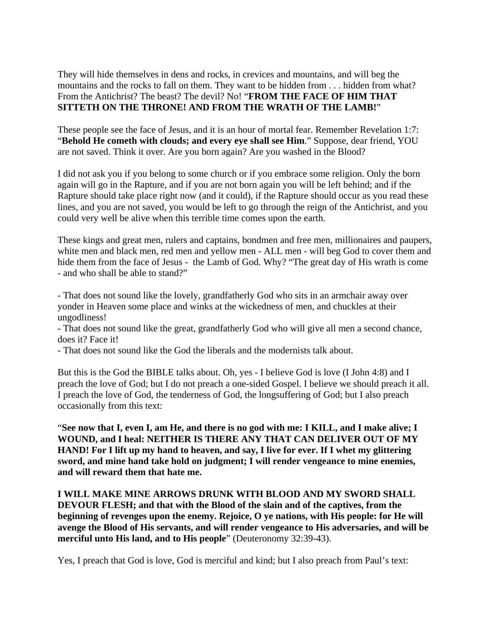They will hide themselves in dens and rocks, in crevices and mountains, and will beg the mountains and the rocks to fall on them. They want to be hidden from . . . hidden from what? From the Antichrist? The beast? The devil? No! "**FROM THE FACE OF HIM THAT SITTETH ON THE THRONE! AND FROM THE WRATH OF THE LAMB!**"

These people see the face of Jesus, and it is an hour of mortal fear. Remember Revelation 1:7: "**Behold He cometh with clouds; and every eye shall see Him**." Suppose, dear friend, YOU are not saved. Think it over. Are you born again? Are you washed in the Blood?

I did not ask you if you belong to some church or if you embrace some religion. Only the born again will go in the Rapture, and if you are not born again you will be left behind; and if the Rapture should take place right now (and it could), if the Rapture should occur as you read these lines, and you are not saved, you would be left to go through the reign of the Antichrist, and you could very well be alive when this terrible time comes upon the earth.

These kings and great men, rulers and captains, bondmen and free men, millionaires and paupers, white men and black men, red men and yellow men - ALL men - will beg God to cover them and hide them from the face of Jesus - the Lamb of God. Why? "The great day of His wrath is come - and who shall be able to stand?"

- That does not sound like the lovely, grandfatherly God who sits in an armchair away over yonder in Heaven some place and winks at the wickedness of men, and chuckles at their ungodliness!

- That does not sound like the great, grandfatherly God who will give all men a second chance, does it? Face it!

- That does not sound like the God the liberals and the modernists talk about.

But this is the God the BIBLE talks about. Oh, yes - I believe God is love (I John 4:8) and I preach the love of God; but I do not preach a one-sided Gospel. I believe we should preach it all. I preach the love of God, the tenderness of God, the longsuffering of God; but I also preach occasionally from this text:

"**See now that I, even I, am He, and there is no god with me: I KILL, and I make alive; I WOUND, and I heal: NEITHER IS THERE ANY THAT CAN DELIVER OUT OF MY HAND! For I lift up my hand to heaven, and say, I live for ever. If I whet my glittering sword, and mine hand take hold on judgment; I will render vengeance to mine enemies, and will reward them that hate me.** 

**I WILL MAKE MINE ARROWS DRUNK WITH BLOOD AND MY SWORD SHALL DEVOUR FLESH; and that with the Blood of the slain and of the captives, from the beginning of revenges upon the enemy. Rejoice, O ye nations, with His people: for He will avenge the Blood of His servants, and will render vengeance to His adversaries, and will be merciful unto His land, and to His people**" (Deuteronomy 32:39-43).

Yes, I preach that God is love, God is merciful and kind; but I also preach from Paul's text: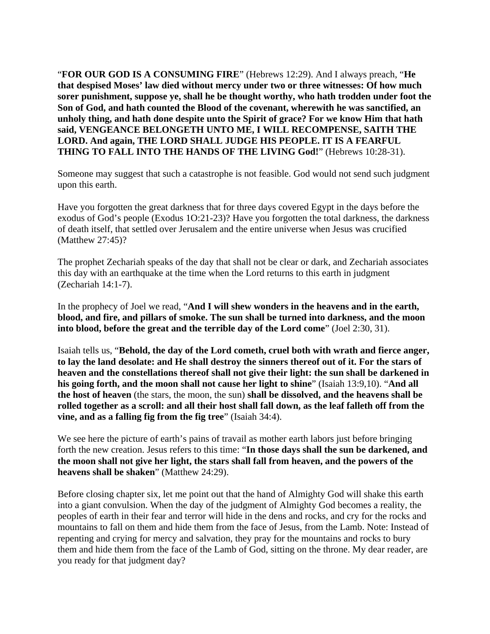"**FOR OUR GOD IS A CONSUMING FIRE**" (Hebrews 12:29). And I always preach, "**He that despised Moses' law died without mercy under two or three witnesses: Of how much sorer punishment, suppose ye, shall he be thought worthy, who hath trodden under foot the Son of God, and hath counted the Blood of the covenant, wherewith he was sanctified, an unholy thing, and hath done despite unto the Spirit of grace? For we know Him that hath said, VENGEANCE BELONGETH UNTO ME, I WILL RECOMPENSE, SAITH THE LORD. And again, THE LORD SHALL JUDGE HIS PEOPLE. IT IS A FEARFUL THING TO FALL INTO THE HANDS OF THE LIVING God!**" (Hebrews 10:28-31).

Someone may suggest that such a catastrophe is not feasible. God would not send such judgment upon this earth.

Have you forgotten the great darkness that for three days covered Egypt in the days before the exodus of God's people (Exodus 1O:21-23)? Have you forgotten the total darkness, the darkness of death itself, that settled over Jerusalem and the entire universe when Jesus was crucified (Matthew 27:45)?

The prophet Zechariah speaks of the day that shall not be clear or dark, and Zechariah associates this day with an earthquake at the time when the Lord returns to this earth in judgment (Zechariah 14:1-7).

In the prophecy of Joel we read, "**And I will shew wonders in the heavens and in the earth, blood, and fire, and pillars of smoke. The sun shall be turned into darkness, and the moon into blood, before the great and the terrible day of the Lord come**" (Joel 2:30, 31).

Isaiah tells us, "**Behold, the day of the Lord cometh, cruel both with wrath and fierce anger, to lay the land desolate: and He shall destroy the sinners thereof out of it. For the stars of heaven and the constellations thereof shall not give their light: the sun shall be darkened in his going forth, and the moon shall not cause her light to shine**" (Isaiah 13:9,10). "**And all the host of heaven** (the stars, the moon, the sun) **shall be dissolved, and the heavens shall be rolled together as a scroll: and all their host shall fall down, as the leaf falleth off from the vine, and as a falling fig from the fig tree**" (Isaiah 34:4).

We see here the picture of earth's pains of travail as mother earth labors just before bringing forth the new creation. Jesus refers to this time: "**In those days shall the sun be darkened, and the moon shall not give her light, the stars shall fall from heaven, and the powers of the heavens shall be shaken**" (Matthew 24:29).

Before closing chapter six, let me point out that the hand of Almighty God will shake this earth into a giant convulsion. When the day of the judgment of Almighty God becomes a reality, the peoples of earth in their fear and terror will hide in the dens and rocks, and cry for the rocks and mountains to fall on them and hide them from the face of Jesus, from the Lamb. Note: Instead of repenting and crying for mercy and salvation, they pray for the mountains and rocks to bury them and hide them from the face of the Lamb of God, sitting on the throne. My dear reader, are you ready for that judgment day?